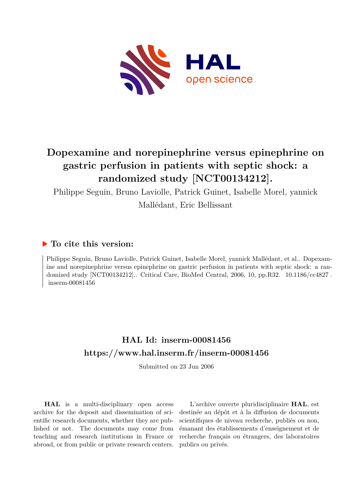

# **Dopexamine and norepinephrine versus epinephrine on gastric perfusion in patients with septic shock: a randomized study [NCT00134212].**

Philippe Seguin, Bruno Laviolle, Patrick Guinet, Isabelle Morel, yannick

Mallédant, Eric Bellissant

# **To cite this version:**

Philippe Seguin, Bruno Laviolle, Patrick Guinet, Isabelle Morel, yannick Mallédant, et al.. Dopexamine and norepinephrine versus epinephrine on gastric perfusion in patients with septic shock: a randomized study [NCT00134212].. Critical Care, BioMed Central, 2006, 10, pp.R32.  $10.1186$ /cc4827.  $inserm-00081456$ 

# **HAL Id: inserm-00081456 <https://www.hal.inserm.fr/inserm-00081456>**

Submitted on 23 Jun 2006

**HAL** is a multi-disciplinary open access archive for the deposit and dissemination of scientific research documents, whether they are published or not. The documents may come from teaching and research institutions in France or abroad, or from public or private research centers.

L'archive ouverte pluridisciplinaire **HAL**, est destinée au dépôt et à la diffusion de documents scientifiques de niveau recherche, publiés ou non, émanant des établissements d'enseignement et de recherche français ou étrangers, des laboratoires publics ou privés.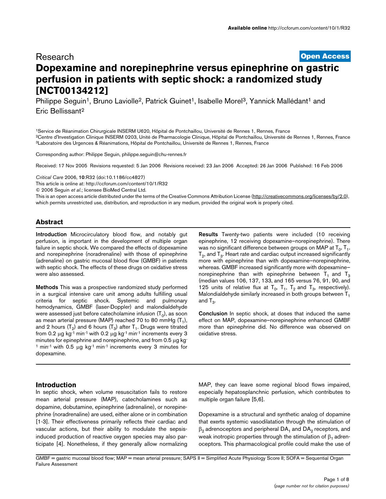# [Open Access](http://www.biomedcentral.com/info/about/charter/) Research **Dopexamine and norepinephrine versus epinephrine on gastric perfusion in patients with septic shock: a randomized study [NCT00134212]**

Philippe Seguin<sup>1</sup>, Bruno Laviolle<sup>2</sup>, Patrick Guinet<sup>1</sup>, Isabelle Morel<sup>3</sup>, Yannick Mallédant<sup>1</sup> and Eric Bellissant<sup>2</sup>

<sup>1</sup>Service de Réanimation Chirurgicale INSERM U620, Hôpital de Pontchaillou, Université de Rennes 1, Rennes, France <sup>2</sup>Centre d'Investigation Clinique INSERM 0203, Unité de Pharmacologie Clinique, Hôpital de Pontchaillou, Université de Rennes 1, Rennes, France <sup>3</sup>Laboratoire des Urgences & Réanimations, Hôpital de Pontchaillou, Université de Rennes 1, Rennes, France

Corresponding author: Philippe Seguin, philippe.seguin@chu-rennes.fr

Received: 17 Nov 2005 Revisions requested: 5 Jan 2006 Revisions received: 23 Jan 2006 Accepted: 26 Jan 2006 Published: 16 Feb 2006

*Critical Care* 2006, 10:R32 (doi:10.1186/cc4827)

[This article is online at: http://ccforum.com/content/10/1/R32](http://ccforum.com/content/10/1/R32)

© 2006 Seguin *et al*.; licensee BioMed Central Ltd.

This is an open access article distributed under the terms of the Creative Commons Attribution License [\(http://creativecommons.org/licenses/by/2.0\)](http://creativecommons.org/licenses/by/2.0), which permits unrestricted use, distribution, and reproduction in any medium, provided the original work is properly cited.

# **Abstract**

Introduction Microcirculatory blood flow, and notably gut perfusion, is important in the development of multiple organ failure in septic shock. We compared the effects of dopexamine and norepinephrine (noradrenaline) with those of epinephrine (adrenaline) on gastric mucosal blood flow (GMBF) in patients with septic shock. The effects of these drugs on oxidative stress were also assessed.

Methods This was a prospective randomized study performed in a surgical intensive care unit among adults fulfilling usual criteria for septic shock. Systemic and pulmonary hemodynamics, GMBF (laser-Doppler) and malondialdehyde were assessed just before catecholamine infusion (T $_{\rm o}$ ), as soon as mean arterial pressure (MAP) reached 70 to 80 mmHg (T<sub>1</sub>), and 2 hours (T<sub>2</sub>) and 6 hours (T<sub>3</sub>) after T<sub>1</sub>. Drugs were titrated from 0.2 µg kg-1 min-1 with 0.2 µg kg-1 min-1 increments every 3 minutes for epinephrine and norepinephrine, and from 0.5 µg kg- $1$  min $-1$  with 0.5 µg kg $-1$  min $-1$  increments every 3 minutes for dopexamine.

Results Twenty-two patients were included (10 receiving epinephrine, 12 receiving dopexamine–norepinephrine). There was no significant difference between groups on MAP at  ${\mathsf T}_0, {\mathsf T}_1,$  ${\sf T_2}$ , and  ${\sf T_3}$ . Heart rate and cardiac output increased significantly more with epinephrine than with dopexamine–norepinephrine, whereas. GMBF increased significantly more with dopexamine– norepinephrine than with epinephrine between  $T_1$  and  $T_3$ (median values 106, 137, 133, and 165 versus 76, 91, 90, and 125 units of relative flux at  $T_0$ ,  $T_1$ ,  $T_2$  and  $T_3$ , respectively). Malondialdehyde similarly increased in both groups between  $T_1$ and T $_{3}$ .

Conclusion In septic shock, at doses that induced the same effect on MAP, dopexamine–norepinephrine enhanced GMBF more than epinephrine did. No difference was observed on oxidative stress.

# **Introduction**

In septic shock, when volume resuscitation fails to restore mean arterial pressure (MAP), catecholamines such as dopamine, dobutamine, epinephrine (adrenaline), or norepinephrine (noradrenaline) are used, either alone or in combination [1-3]. Their effectiveness primarily reflects their cardiac and vascular actions, but their ability to modulate the sepsisinduced production of reactive oxygen species may also participate [4]. Nonetheless, if they generally allow normalizing

MAP, they can leave some regional blood flows impaired, especially hepatosplanchnic perfusion, which contributes to multiple organ failure [5,6].

Dopexamine is a structural and synthetic analog of dopamine that exerts systemic vasodilatation through the stimulation of  $\beta_2$  adrenoceptors and peripheral DA<sub>1</sub> and DA<sub>2</sub> receptors, and weak inotropic properties through the stimulation of  $\beta_1$  adrenoceptors. This pharmacological profile could make the use of

GMBF = gastric mucosal blood flow; MAP = mean arterial pressure; SAPS II = Simplified Acute Physiology Score II; SOFA = Sequential Organ Failure Assessment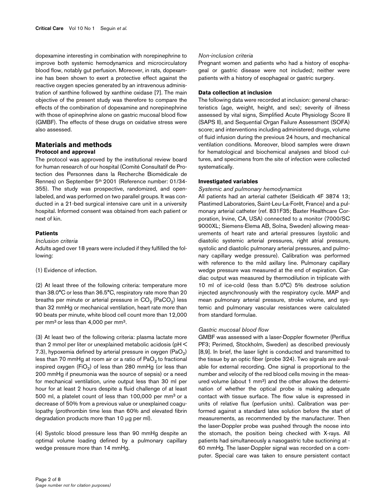dopexamine interesting in combination with norepinephrine to improve both systemic hemodynamics and microcirculatory blood flow, notably gut perfusion. Moreover, in rats, dopexamine has been shown to exert a protective effect against the reactive oxygen species generated by an intravenous administration of xanthine followed by xanthine oxidase [7]. The main objective of the present study was therefore to compare the effects of the combination of dopexamine and norepinephrine with those of epinephrine alone on gastric mucosal blood flow (GMBF). The effects of these drugs on oxidative stress were also assessed.

#### **Materials and methods Protocol and approval**

The protocol was approved by the institutional review board for human research of our hospital (Comité Consultatif de Protection des Personnes dans la Recherche Biomédicale de Rennes) on September 5<sup>th</sup> 2001 (Reference number: 01/34-355). The study was prospective, randomized, and openlabeled, and was performed on two parallel groups. It was conducted in a 21-bed surgical intensive care unit in a university hospital. Informed consent was obtained from each patient or next of kin.

#### **Patients**

#### *Inclusion criteria*

Adults aged over 18 years were included if they fulfilled the following:

(1) Evidence of infection.

(2) At least three of the following criteria: temperature more than 38.0°C or less than 36.5°C, respiratory rate more than 20 breaths per minute or arterial pressure in  $\mathrm{CO}_2$  (Pa $\mathrm{CO}_2$ ) less than 32 mmHg or mechanical ventilation, heart rate more than 90 beats per minute, white blood cell count more than 12,000 per mm<sup>3</sup>or less than 4,000 per mm<sup>3</sup>.

(3) At least two of the following criteria: plasma lactate more than 2 mmol per liter or unexplained metabolic acidosis (pH < 7.3), hypoxemia defined by arterial pressure in oxygen (PaO<sub>2</sub>) less than 70 mmHg at room air or a ratio of  $PaO<sub>2</sub>$  to fractional inspired oxygen (FiO $_2$ ) of less than 280 mmHg (or less than 200 mmHg if pneumonia was the source of sepsis) or a need for mechanical ventilation, urine output less than 30 ml per hour for at least 2 hours despite a fluid challenge of at least 500 ml, a platelet count of less than 100,000 per mm<sup>3</sup> or a decrease of 50% from a previous value or unexplained coagulopathy (prothrombin time less than 60% and elevated fibrin degradation products more than 10 µg per ml).

(4) Systolic blood pressure less than 90 mmHg despite an optimal volume loading defined by a pulmonary capillary wedge pressure more than 14 mmHg.

#### *Non-inclusion criteria*

Pregnant women and patients who had a history of esophageal or gastric disease were not included; neither were patients with a history of esophageal or gastric surgery.

### **Data collection at inclusion**

The following data were recorded at inclusion: general characteristics (age, weight, height, and sex); severity of illness assessed by vital signs, Simplified Acute Physiology Score II (SAPS II), and Sequential Organ Failure Assessment (SOFA) score; and interventions including administered drugs, volume of fluid infusion during the previous 24 hours, and mechanical ventilation conditions. Moreover, blood samples were drawn for hematological and biochemical analyses and blood cultures, and specimens from the site of infection were collected systematically.

#### **Investigated variables**

#### *Systemic and pulmonary hemodynamics*

All patients had an arterial catheter (Seldicath 4F 3874 13; Plastimed Laboratories, Saint-Leu-La-Forêt, France) and a pulmonary arterial catheter (ref. 831F35; Baxter Healthcare Corporation, Irvine, CA, USA) connected to a monitor (7000/SC 9000XL; Siemens-Elema AB, Solna, Sweden) allowing measurements of heart rate and arterial pressures (systolic and diastolic systemic arterial pressures, right atrial pressure, systolic and diastolic pulmonary arterial pressures, and pulmonary capillary wedge pressure). Calibration was performed with reference to the mild axillary line. Pulmonary capillary wedge pressure was measured at the end of expiration. Cardiac output was measured by thermodilution in triplicate with 10 ml of ice-cold (less than 5.0°C) 5% dextrose solution injected asynchronously with the respiratory cycle. MAP and mean pulmonary arterial pressure, stroke volume, and systemic and pulmonary vascular resistances were calculated from standard formulae.

#### *Gastric mucosal blood flow*

GMBF was assessed with a laser-Doppler flowmeter (Periflux PF3; Perimed, Stockholm, Sweden) as described previously [8,9]. In brief, the laser light is conducted and transmitted to the tissue by an optic fiber (probe 324). Two signals are available for external recording. One signal is proportional to the number and velocity of the red blood cells moving in the measured volume (about 1 mm3) and the other allows the determination of whether the optical probe is making adequate contact with tissue surface. The flow value is expressed in units of relative flux (perfusion units). Calibration was performed against a standard latex solution before the start of measurements, as recommended by the manufacturer. Then the laser-Doppler probe was pushed through the noose into the stomach, the position being checked with X-rays. All patients had simultaneously a nasogastric tube suctioning at - 60 mmHg. The laser-Doppler signal was recorded on a computer. Special care was taken to ensure persistent contact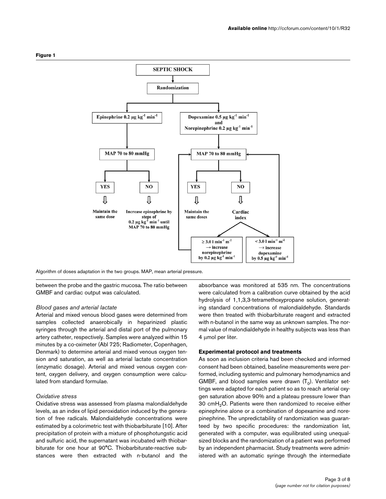

Algorithm of doses adaptation in the two groups. MAP, mean arterial pressure.

between the probe and the gastric mucosa. The ratio between GMBF and cardiac output was calculated.

#### *Blood gases and arterial lactate*

Arterial and mixed venous blood gases were determined from samples collected anaerobically in heparinized plastic syringes through the arterial and distal port of the pulmonary artery catheter, respectively. Samples were analyzed within 15 minutes by a co-oximeter (Abl 725; Radiometer, Copenhagen, Denmark) to determine arterial and mixed venous oxygen tension and saturation, as well as arterial lactate concentration (enzymatic dosage). Arterial and mixed venous oxygen content, oxygen delivery, and oxygen consumption were calculated from standard formulae.

#### *Oxidative stress*

Oxidative stress was assessed from plasma malondialdehyde levels, as an index of lipid peroxidation induced by the generation of free radicals. Malondialdehyde concentrations were estimated by a colorimetric test with thiobarbiturate [10]. After precipitation of protein with a mixture of phosphotungstic acid and sulfuric acid, the supernatant was incubated with thiobarbiturate for one hour at 90°C. Thiobarbiturate-reactive substances were then extracted with n-butanol and the

absorbance was monitored at 535 nm. The concentrations were calculated from a calibration curve obtained by the acid hydrolysis of 1,1,3,3-tetramethoxypropane solution, generating standard concentrations of malondialdehyde. Standards were then treated with thiobarbiturate reagent and extracted with n-butanol in the same way as unknown samples. The normal value of malondialdehyde in healthy subjects was less than 4 umol per liter.

#### **Experimental protocol and treatments**

As soon as inclusion criteria had been checked and informed consent had been obtained, baseline measurements were performed, including systemic and pulmonary hemodynamics and GMBF, and blood samples were drawn  $(\mathsf{T}_0)$ . Ventilator settings were adapted for each patient so as to reach arterial oxygen saturation above 90% and a plateau pressure lower than 30 cmH2O. Patients were then randomized to receive either epinephrine alone or a combination of dopexamine and norepinephrine. The unpredictability of randomization was guaranteed by two specific procedures: the randomization list, generated with a computer, was equilibrated using unequalsized blocks and the randomization of a patient was performed by an independent pharmacist. Study treatments were administered with an automatic syringe through the intermediate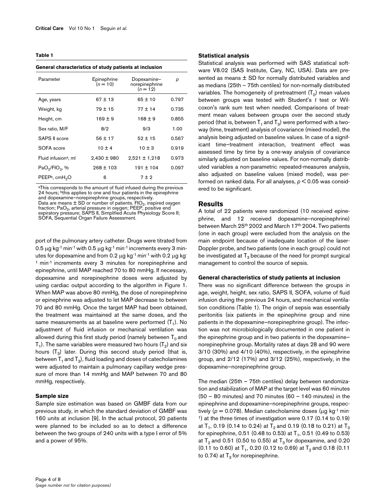#### **Table 1**

| General characteristics of study patients at inclusion |                           |                                             |       |  |  |  |  |  |  |
|--------------------------------------------------------|---------------------------|---------------------------------------------|-------|--|--|--|--|--|--|
| Parameter                                              | Epinephrine<br>$(n = 10)$ | Dopexamine-<br>norepinephrine<br>$(n = 12)$ | р     |  |  |  |  |  |  |
| Age, years                                             | $67 \pm 13$               | $65 \pm 10$                                 | 0.797 |  |  |  |  |  |  |
| Weight, kg                                             | $79 + 15$                 | $77 + 14$                                   | 0.735 |  |  |  |  |  |  |
| Height, cm                                             | $169 \pm 9$               | $168 \pm 9$                                 | 0.855 |  |  |  |  |  |  |
| Sex ratio, M/F                                         | 8/2                       | 9/3                                         | 1.00  |  |  |  |  |  |  |
| SAPS II score                                          | $56 \pm 17$               | $52 \pm 15$                                 | 0.567 |  |  |  |  |  |  |
| SOFA score                                             | $10 \pm 4$                | $10 \pm 3$                                  | 0.919 |  |  |  |  |  |  |
| Fluid infusion <sup>a</sup> , ml                       | $2,430 \pm 980$           | $2,521 \pm 1,218$                           | 0.973 |  |  |  |  |  |  |
| PaO <sub>2</sub> /FIO <sub>2</sub> , %                 | $268 \pm 103$             | $191 \pm 104$                               | 0.097 |  |  |  |  |  |  |
| PEEP <sup>b</sup> , cmH <sub>2</sub> O                 | 6                         | 7±2                                         |       |  |  |  |  |  |  |

<sup>a</sup>This corresponds to the amount of fluid infused during the previous 24 hours; bthis applies to one and four patients in the epinephrine and dopexamine-norepinephrine groups, respectively. Data are means  $\pm$  SD or number of patients.  $FIO<sub>2</sub>$ , inspired oxygen fraction; PaO<sub>2</sub>, arterial pressure in oxygen; PEEP, positive end<br>expiratory pressure; SAPS II, Simplified Acute Physiology Score II; SOFA, Sequential Organ Failure Assessment.

port of the pulmonary artery catheter. Drugs were titrated from 0.5  $\mu$ g kg<sup>-1</sup> min<sup>-1</sup> with 0.5  $\mu$ g kg<sup>-1</sup> min<sup>-1</sup> increments every 3 minutes for dopexamine and from 0.2  $\mu$ g kg<sup>-1</sup> min<sup>-1</sup> with 0.2  $\mu$ g kg<sup>-</sup> <sup>1</sup> min<sup>-1</sup> increments every 3 minutes for norepinephrine and epinephrine, until MAP reached 70 to 80 mmHg. If necessary, dopexamine and norepinephrine doses were adjusted by using cardiac output according to the algorithm in Figure 1. When MAP was above 80 mmHg, the dose of norepinephrine or epinephrine was adjusted to let MAP decrease to between 70 and 80 mmHg. Once the target MAP had been obtained, the treatment was maintained at the same doses, and the same measurements as at baseline were performed (T<sub>1</sub>). No adjustment of fluid infusion or mechanical ventilation was allowed during this first study period (namely between  $T_0$  and T<sub>1</sub>). The same variables were measured two hours (T<sub>2</sub>) and six hours  $(\mathsf{T}_3)$  later. During this second study period (that is, between  ${\sf T_1}$  and  ${\sf T_3}$ ), fluid loading and doses of catecholamines were adjusted to maintain a pulmonary capillary wedge pressure of more than 14 mmHg and MAP between 70 and 80 mmHg, respectively.

#### **Sample size**

Sample size estimation was based on GMBF data from our previous study, in which the standard deviation of GMBF was 160 units at inclusion [9]. In the actual protocol, 20 patients were planned to be included so as to detect a difference between the two groups of 240 units with a type I error of 5% and a power of 95%.

#### **Statistical analysis**

Statistical analysis was performed with SAS statistical software V8.02 (SAS Institute, Cary, NC, USA). Data are presented as means  $\pm$  SD for normally distributed variables and as medians (25th – 75th centiles) for non-normally distributed variables. The homogeneity of pretreatment  $(\mathsf{T}_0)$  mean values between groups was tested with Student's *t* test or Wilcoxon's rank sum test when needed. Comparisons of treatment mean values between groups over the second study period (that is, between  ${\sf T}_1$  and  ${\sf T}_3$ ) were performed with a twoway (time, treatment) analysis of covariance (mixed model), the analysis being adjusted on baseline values. In case of a significant time–treatment interaction, treatment effect was assessed time by time by a one-way analysis of covariance similarly adjusted on baseline values. For non-normally distributed variables a non-parametric repeated-measures analysis, also adjusted on baseline values (mixed model), was performed on ranked data. For all analyses, *p* < 0.05 was considered to be significant.

#### **Results**

A total of 22 patients were randomized (10 received epinephrine, and 12 received dopexamine–norepinephrine) between March 25<sup>th</sup> 2002 and March 17<sup>th</sup> 2004. Two patients (one in each group) were excluded from the analysis on the main endpoint because of inadequate location of the laser-Doppler probe, and two patients (one in each group) could not be investigated at  $T_3$  because of the need for prompt surgical management to control the source of sepsis.

#### **General characteristics of study patients at inclusion**

There was no significant difference between the groups in age, weight, height, sex ratio, SAPS II, SOFA, volume of fluid infusion during the previous 24 hours, and mechanical ventilation conditions (Table 1). The origin of sepsis was essentially peritonitis (six patients in the epinephrine group and nine patients in the dopexamine–norepinephrine group). The infection was not microbiologically documented in one patient in the epinephrine group and in two patients in the dopexamine– norepinephrine group. Mortality rates at days 28 and 90 were 3/10 (30%) and 4/10 (40%), respectively, in the epinephrine group, and 2/12 (17%) and 3/12 (25%), respectively, in the dopexamine–norepinephrine group.

The median (25th – 75th centiles) delay between randomization and stabilization of MAP at the target level was 60 minutes (50 – 80 minutes) and 70 minutes (60 – 140 minutes) in the epinephrine and dopexamine–norepinephrine groups, respectively ( $p = 0.078$ ). Median catecholamine doses ( $\mu$ g kg<sup>-1</sup> min-<sup>1</sup>) at the three times of investigation were 0.17 (0.14 to 0.19) at T<sub>1</sub>, 0.19 (0.14 to 0.24) at T $_{2}$  and 0.19 (0.18 to 0.21) at T $_{3}$ for epinephrine, 0.51 (0.48 to 0.53) at  ${\sf T_1}$ , 0.51 (0.49 to 0.53) at  $T_2$  and 0.51 (0.50 to 0.55) at  $T_3$  for dopexamine, and 0.20 (0.11 to 0.60) at T<sub>1</sub>, 0.20 (0.12 to 0.69) at T<sub>2</sub> and 0.18 (0.11 to 0.74) at  $T_3$  for norepinephrine.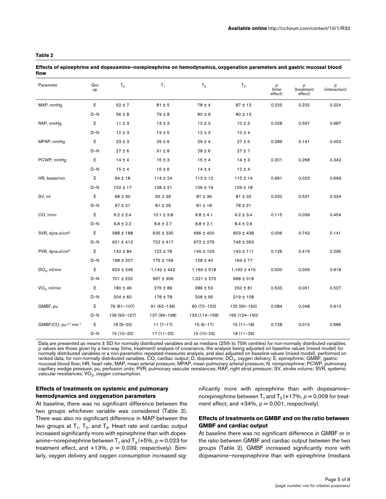#### **Table 2**

| Parameter                                     | Gro<br>up | $T_0$         | $T_1$           | T <sub>2</sub>  | $T_3$           | $\rho$<br>(time<br>effect) | $\rho$ (treatment<br>effect) | $\rho$ (interaction) |
|-----------------------------------------------|-----------|---------------|-----------------|-----------------|-----------------|----------------------------|------------------------------|----------------------|
| MAP, mmHg                                     | Е         | $52 \pm 7$    | $81 \pm 5$      | $78 \pm 4$      | $87 + 13$       | 0.225                      | 0.232                        | 0.224                |
|                                               | $D-N$     | $56 \pm 8$    | $79 \pm 8$      | $80 \pm 9$      | $80 \pm 13$     |                            |                              |                      |
| RAP, mmHg                                     | Е         | $11 \pm 3$    | $13 \pm 3$      | $12 \pm 3$      | $10 \pm 3$      | 0.028                      | 0.597                        | 0.987                |
|                                               | $D-N$     | $12 \pm 3$    | $13 \pm 5$      | $12 \pm 3$      | $10 \pm 4$      |                            |                              |                      |
| MPAP, mmHg                                    | Е         | $23 \pm 3$    | $29 \pm 6$      | $29 \pm 4$      | $27 + 5$        | 0.289                      | 0.141                        | 0.453                |
|                                               | $D-N$     | $27 \pm 6$    | $31 \pm 8$      | $28 \pm 6$      | $27 \pm 7$      |                            |                              |                      |
| PCWP, mmHg                                    | Е         | $14 \pm 4$    | $15 \pm 3$      | 15±4            | $14 \pm 3$      | 0.201                      | 0.268                        | 0.342                |
|                                               | $D-N$     | $15 \pm 4$    | $16 \pm 6$      | $14 \pm 4$      | $12 \pm 4$      |                            |                              |                      |
| HR, beats/min                                 | Е         | $94 \pm 18$   | $114 \pm 24$    | $113 \pm 12$    | $115 \pm 14$    | 0.991                      | 0.023                        | 0.699                |
|                                               | $D-N$     | $102 \pm 17$  | $108 \pm 21$    | $109 \pm 19$    | $109 \pm 18$    |                            |                              |                      |
| SV, ml                                        | Е         | $68 \pm 30$   | $92 \pm 39$     | $87 + 36$       | $81 \pm 33$     | 0.032                      | 0.531                        | 0.334                |
|                                               | $D-N$     | $67 \pm 21$   | $81 \pm 26$     | $81 \pm 18$     | $78 \pm 21$     |                            |                              |                      |
| CO, I/min                                     | E         | $6.2 \pm 2.4$ | $10.1 \pm 3.8$  | $9.8 \pm 4.1$   | $9.2 \pm 3.4$   | 0.115                      | 0.039                        | 0.454                |
|                                               | $D-N$     | $6.8 \pm 2.2$ | $8.6 \pm 2.7$   | $8.8 \pm 2.1$   | $8.4 \pm 2.6$   |                            |                              |                      |
| SVR, dyne.s/cm <sup>5</sup>                   | Ε         | $588 \pm 188$ | 635 ± 335       | 666 ± 400       | $803 \pm 438$   | 0.006                      | 0.743                        | 0.141                |
|                                               | $D-N$     | $621 \pm 412$ | 722 ± 417       | $672 \pm 275$   | 746 ± 353       |                            |                              |                      |
| PVR, dyne.s/cm <sup>5</sup>                   | Е         | $142 \pm 84$  | $122 \pm 78$    | $145 \pm 103$   | $143 \pm 111$   | 0.126                      | 0.419                        | 0.295                |
|                                               | $D-N$     | $198 \pm 207$ | 175 ± 166       | $128 \pm 40$    | 164 ± 77        |                            |                              |                      |
| $DO2$ , ml/min                                | Е         | $624 \pm 246$ | $1,142 \pm 442$ | $1,160 \pm 518$ | $1,163 \pm 415$ | 0.500                      | 0.009                        | 0.918                |
|                                               | $D-N$     | 701 ± 220     | $967 \pm 306$   | $1,021 \pm 275$ | $968 \pm 318$   |                            |                              |                      |
| $VO2$ , ml/min                                | Ε         | $180 \pm 46$  | $275 \pm 89$    | $286 \pm 53$    | $250 \pm 81$    | 0.533                      | 0.001                        | 0.527                |
|                                               | $D-N$     | $204 \pm 60$  | 178 ± 78        | $206 \pm 95$    | $219 \pm 108$   |                            |                              |                      |
| GMBF, pu                                      | Ε         | 76 (61–107)   | $91(62 - 136)$  | $90(72 - 133)$  | 125 (90-160)    | 0.084                      | 0.048                        | 0.913                |
|                                               | D-N       | 106 (93-157)  | 137 (99-198)    | 133 (114-158)   | 165 (124-190)   |                            |                              |                      |
| GMBF/CO, pu l <sup>-1</sup> min <sup>-1</sup> | Е         | $18(9-20)$    | $11(7-17)$      | $15(6-17)$      | $15(11-18)$     | 0.128                      | 0.015                        | 0.686                |
|                                               | $D-N$     | $15(10-20)$   | $17(11-25)$     | $15(10-23)$     | $18(11-39)$     |                            |                              |                      |

**Effects of epinephrine and dopexamine–norepinephrine on hemodynamics, oxygenation parameters and gastric mucosal blood flow**

Data are presented as means ± SD for normally distributed variables and as medians (25th to 75th centiles) for non-normally distributed variables. *p* values are those given by a two-way (time, treatment) analysis of covariance, the analysis being adjusted on baseline values (mixed model) for normally distributed variables or a non-parametric repeated-measures analysis, and also adjusted on baseline values (mixed model), performed on<br>ranked data, for non-normally distributed variables. CO, cardiac output: D, do mucosal blood flow; HR, heart rate; MAP, mean arterial pressure; MPAP, mean pulmonary arterial pressure; N, norepinephrine; PCWP, pulmonary<br>capillary wedge pressure; pu, perfusion units; PVR, pulmonary vascular resistances vascular resistances; VO $_{\rm 2}$ , oxygen consumption.

# **Effects of treatments on systemic and pulmonary hemodynamics and oxygenation parameters**

At baseline, there was no significant difference between the two groups whichever variable was considered (Table 2). There was also no significant difference in MAP between the two groups at  ${\sf T}_1,~{\sf T}_2,$  and  ${\sf T}_3.$  Heart rate and cardiac output increased significantly more with epinephrine than with dopexamine–norepinephrine between  $T_1$  and  $T_3$  (+5%,  $p = 0.023$  for treatment effect, and  $+13%$ ,  $p = 0.039$ , respectively). Similarly, oxygen delivery and oxygen consumption increased significantly more with epinephrine than with dopexamine– norepinephrine between  $T_1$  and  $T_3$  (+17%,  $p = 0.009$  for treatment effect, and  $+34\%$ ,  $p = 0.001$ , respectively).

# **Effects of treatments on GMBF and on the ratio between GMBF and cardiac output**

At baseline there was no significant difference in GMBF or in the ratio between GMBF and cardiac output between the two groups (Table 2). GMBF increased significantly more with dopexamine–norepinephrine than with epinephrine (medians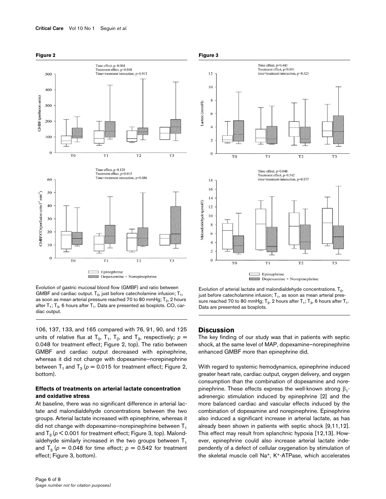

Evolution of gastric mucosal blood flow (GMBF) and ratio between GMBF and cardiac output.  $T_0$ , just before catecholamine infusion;  $T_1$ , as soon as mean arterial pressure reached 70 to 80 mmHg; T $_{\rm 2}$ , 2 hours after  ${\sf T}_1; {\sf T}_3,$  6 hours after  ${\sf T}_1.$  Data are presented as boxplots. CO, cardiac output.

106, 137, 133, and 165 compared with 76, 91, 90, and 125 units of relative flux at  $T_0$ ,  $T_1$ ,  $T_2$ , and  $T_3$ , respectively;  $p =$ 0.048 for treatment effect; Figure 2, top). The ratio between GMBF and cardiac output decreased with epinephrine, whereas it did not change with dopexamine–norepinephrine between  $T_1$  and  $T_3$  ( $p = 0.015$  for treatment effect; Figure 2, bottom).

## **Effects of treatments on arterial lactate concentration and oxidative stress**

At baseline, there was no significant difference in arterial lactate and malondialdehyde concentrations between the two groups. Arterial lactate increased with epinephrine, whereas it did not change with dopexamine-norepinephrine between  $T_1$ and  $T_3$  ( $\rho$  < 0.001 for treatment effect; Figure 3, top). Malondialdehyde similarly increased in the two groups between  $T_1$ and  $T_3$  ( $p = 0.048$  for time effect;  $p = 0.542$  for treatment effect; Figure 3, bottom).

# **Figure 3**



Evolution of arterial lactate and malondialdehyde concentrations.  ${\tt T}_0$ , just before catecholamine infusion;  ${\mathsf T}_1$ , as soon as mean arterial pressure reached 70 to 80 mmHg; T<sub>2</sub>, 2 hours after T<sub>1</sub>; T<sub>3</sub>, 6 hours after T<sub>1</sub>. Data are presented as boxplots.

# **Discussion**

The key finding of our study was that in patients with septic shock, at the same level of MAP, dopexamine–norepinephrine enhanced GMBF more than epinephrine did.

With regard to systemic hemodynamics, epinephrine induced greater heart rate, cardiac output, oxygen delivery, and oxygen consumption than the combination of dopexamine and norepinephrine. These effects express the well-known strong  $β₁$ adrenergic stimulation induced by epinephrine [2] and the more balanced cardiac and vascular effects induced by the combination of dopexamine and norepinephrine. Epinephrine also induced a significant increase in arterial lactate, as has already been shown in patients with septic shock [9,11,12]. This effect may result from splanchnic hypoxia [12,13]. However, epinephrine could also increase arterial lactate independently of a defect of cellular oxygenation by stimulation of the skeletal muscle cell Na<sup>+</sup>, K<sup>+</sup>-ATPase, which accelerates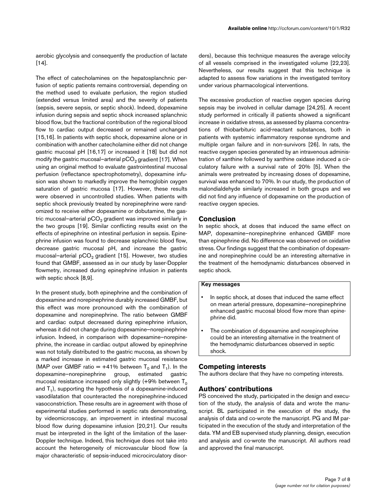aerobic glycolysis and consequently the production of lactate [[14](#page-8-0)].

The effect of catecholamines on the hepatosplanchnic perfusion of septic patients remains controversial, depending on the method used to evaluate perfusion, the region studied (extended versus limited area) and the severity of patients (sepsis, severe sepsis, or septic shock). Indeed, dopexamine infusion during sepsis and septic shock increased splanchnic blood flow, but the fractional contribution of the regional blood flow to cardiac output decreased or remained unchanged [15,16]. In patients with septic shock, dopexamine alone or in combination with another catecholamine either did not change gastric mucosal pH [16,17] or increased it [18] but did not modify the gastric mucosal–arterial  $pCO<sub>2</sub>$  gradient [17]. When using an original method to evaluate gastrointestinal mucosal perfusion (reflectance spectrophotometry), dopexamine infusion was shown to markedly improve the hemoglobin oxygen saturation of gastric mucosa [17]. However, these results were observed in uncontrolled studies. When patients with septic shock previously treated by norepinephrine were randomized to receive either dopexamine or dobutamine, the gastric mucosal–arterial  $pCO<sub>2</sub>$  gradient was improved similarly in the two groups [19]. Similar conflicting results exist on the effects of epinephrine on intestinal perfusion in sepsis. Epinephrine infusion was found to decrease splanchnic blood flow, decrease gastric mucosal pH, and increase the gastric mucosal–arterial  $pCO<sub>2</sub>$  gradient [15]. However, two studies found that GMBF, assessed as in our study by laser-Doppler flowmetry, increased during epinephrine infusion in patients with septic shock [8,9].

In the present study, both epinephrine and the combination of dopexamine and norepinephrine durably increased GMBF, but this effect was more pronounced with the combination of dopexamine and norepinephrine. The ratio between GMBF and cardiac output decreased during epinephrine infusion, whereas it did not change during dopexamine–norepinephrine infusion. Indeed, in comparison with dopexamine–norepinephrine, the increase in cardiac output allowed by epinephrine was not totally distributed to the gastric mucosa, as shown by a marked increase in estimated gastric mucosal resistance (MAP over GMBF ratio =  $+41\%$  between T<sub>0</sub> and T<sub>1</sub>). In the dopexamine–norepinephrine group, estimated gastric mucosal resistance increased only slightly (+9% between  $T_0$ and  ${\sf T_1}$ ), supporting the hypothesis of a dopexamine-induced vasodilatation that counteracted the norepinephrine-induced vasoconstriction. These results are in agreement with those of experimental studies performed in septic rats demonstrating, by videomicroscopy, an improvement in intestinal mucosal blood flow during dopexamine infusion [20,21]. Our results must be interpreted in the light of the limitation of the laser-Doppler technique. Indeed, this technique does not take into account the heterogeneity of microvascular blood flow (a major characteristic of sepsis-induced microcirculatory disorders), because this technique measures the average velocity of all vessels comprised in the investigated volume [22,23]. Nevertheless, our results suggest that this technique is adapted to assess flow variations in the investigated territory under various pharmacological interventions.

The excessive production of reactive oxygen species during sepsis may be involved in cellular damage [24,25]. A recent study performed in critically ill patients showed a significant increase in oxidative stress, as assessed by plasma concentrations of thiobarbituric acid-reactant substances, both in patients with systemic inflammatory response syndrome and multiple organ failure and in non-survivors [26]. In rats, the reactive oxygen species generated by an intravenous administration of xanthine followed by xanthine oxidase induced a circulatory failure with a survival rate of 20% [5]. When the animals were pretreated by increasing doses of dopexamine, survival was enhanced to 70%. In our study, the production of malondialdehyde similarly increased in both groups and we did not find any influence of dopexamine on the production of reactive oxygen species.

### **Conclusion**

In septic shock, at doses that induced the same effect on MAP, dopexamine–norepinephrine enhanced GMBF more than epinephrine did. No difference was observed on oxidative stress. Our findings suggest that the combination of dopexamine and norepinephrine could be an interesting alternative in the treatment of the hemodynamic disturbances observed in septic shock.

#### Key messages

- In septic shock, at doses that induced the same effect on mean arterial pressure, dopexamine–norepinephrine enhanced gastric mucosal blood flow more than epinephrine did.
- The combination of dopexamine and norepinephrine could be an interesting alternative in the treatment of the hemodynamic disturbances observed in septic shock.

# **Competing interests**

The authors declare that they have no competing interests.

# **Authors' contributions**

PS conceived the study, participated in the design and execution of the study, the analysis of data and wrote the manuscript. BL participated in the execution of the study, the analysis of data and co-wrote the manuscript. PG and IM participated in the execution of the study and interpretation of the data. YM and EB supervised study planning, design, execution and analysis and co-wrote the manuscript. All authors read and approved the final manuscript.